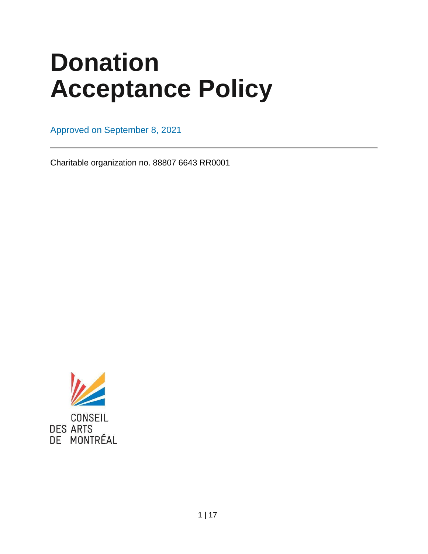# **Donation Acceptance Policy**

Approved on September 8, 2021

Charitable organization no. 88807 6643 RR0001

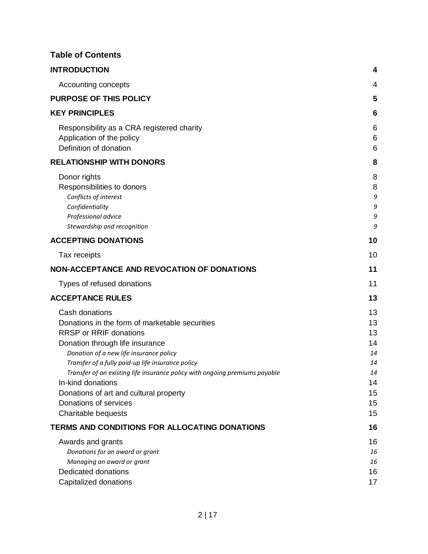## **Table of Contents**

| <b>INTRODUCTION</b>                                                                                                                                                                                                                                                                                                                                                                                                                | 4                                                              |
|------------------------------------------------------------------------------------------------------------------------------------------------------------------------------------------------------------------------------------------------------------------------------------------------------------------------------------------------------------------------------------------------------------------------------------|----------------------------------------------------------------|
| Accounting concepts                                                                                                                                                                                                                                                                                                                                                                                                                | 4                                                              |
| <b>PURPOSE OF THIS POLICY</b>                                                                                                                                                                                                                                                                                                                                                                                                      | 5                                                              |
| <b>KEY PRINCIPLES</b>                                                                                                                                                                                                                                                                                                                                                                                                              | 6                                                              |
| Responsibility as a CRA registered charity<br>Application of the policy<br>Definition of donation                                                                                                                                                                                                                                                                                                                                  | 6<br>6<br>6                                                    |
| <b>RELATIONSHIP WITH DONORS</b>                                                                                                                                                                                                                                                                                                                                                                                                    | 8                                                              |
| Donor rights<br>Responsibilities to donors<br>Conflicts of interest<br>Confidentiality<br>Professional advice<br>Stewardship and recognition                                                                                                                                                                                                                                                                                       | 8<br>8<br>9<br>9<br>9<br>9                                     |
| <b>ACCEPTING DONATIONS</b>                                                                                                                                                                                                                                                                                                                                                                                                         | 10                                                             |
| Tax receipts                                                                                                                                                                                                                                                                                                                                                                                                                       | 10                                                             |
| <b>NON-ACCEPTANCE AND REVOCATION OF DONATIONS</b>                                                                                                                                                                                                                                                                                                                                                                                  | 11                                                             |
| Types of refused donations                                                                                                                                                                                                                                                                                                                                                                                                         | 11                                                             |
| <b>ACCEPTANCE RULES</b>                                                                                                                                                                                                                                                                                                                                                                                                            | 13                                                             |
| Cash donations<br>Donations in the form of marketable securities<br><b>RRSP or RRIF donations</b><br>Donation through life insurance<br>Donation of a new life insurance policy<br>Transfer of a fully paid-up life insurance policy<br>Transfer of an existing life insurance policy with ongoing premiums payable<br>In-kind donations<br>Donations of art and cultural property<br>Donations of services<br>Charitable bequests | 13<br>13<br>13<br>14<br>14<br>14<br>14<br>14<br>15<br>15<br>15 |
| TERMS AND CONDITIONS FOR ALLOCATING DONATIONS                                                                                                                                                                                                                                                                                                                                                                                      | 16                                                             |
| Awards and grants<br>Donations for an award or grant<br>Managing an award or grant<br><b>Dedicated donations</b><br>Capitalized donations                                                                                                                                                                                                                                                                                          | 16<br>16<br>16<br>16<br>17                                     |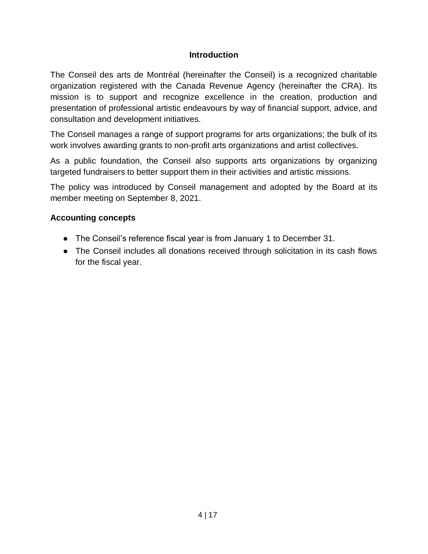#### **Introduction**

<span id="page-3-0"></span>The Conseil des arts de Montréal (hereinafter the Conseil) is a recognized charitable organization registered with the Canada Revenue Agency (hereinafter the CRA). Its mission is to support and recognize excellence in the creation, production and presentation of professional artistic endeavours by way of financial support, advice, and consultation and development initiatives.

The Conseil manages a range of support programs for arts organizations; the bulk of its work involves awarding grants to non-profit arts organizations and artist collectives.

As a public foundation, the Conseil also supports arts organizations by organizing targeted fundraisers to better support them in their activities and artistic missions.

The policy was introduced by Conseil management and adopted by the Board at its member meeting on September 8, 2021.

## <span id="page-3-1"></span>**Accounting concepts**

- The Conseil's reference fiscal year is from January 1 to December 31.
- The Conseil includes all donations received through solicitation in its cash flows for the fiscal year.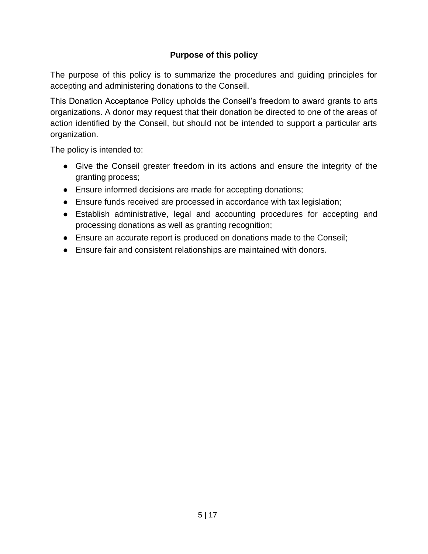# **Purpose of this policy**

<span id="page-4-0"></span>The purpose of this policy is to summarize the procedures and guiding principles for accepting and administering donations to the Conseil.

This Donation Acceptance Policy upholds the Conseil's freedom to award grants to arts organizations. A donor may request that their donation be directed to one of the areas of action identified by the Conseil, but should not be intended to support a particular arts organization.

The policy is intended to:

- Give the Conseil greater freedom in its actions and ensure the integrity of the granting process;
- Ensure informed decisions are made for accepting donations;
- Ensure funds received are processed in accordance with tax legislation;
- Establish administrative, legal and accounting procedures for accepting and processing donations as well as granting recognition;
- Ensure an accurate report is produced on donations made to the Conseil;
- Ensure fair and consistent relationships are maintained with donors.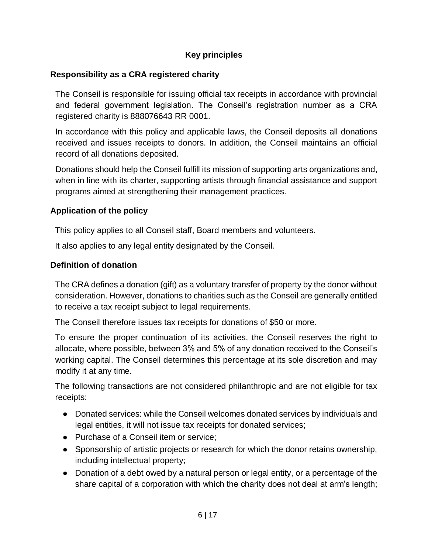# **Key principles**

#### <span id="page-5-1"></span><span id="page-5-0"></span>**Responsibility as a CRA registered charity**

The Conseil is responsible for issuing official tax receipts in accordance with provincial and federal government legislation. The Conseil's registration number as a CRA registered charity is 888076643 RR 0001.

In accordance with this policy and applicable laws, the Conseil deposits all donations received and issues receipts to donors. In addition, the Conseil maintains an official record of all donations deposited.

Donations should help the Conseil fulfill its mission of supporting arts organizations and, when in line with its charter, supporting artists through financial assistance and support programs aimed at strengthening their management practices.

## <span id="page-5-2"></span>**Application of the policy**

This policy applies to all Conseil staff, Board members and volunteers.

It also applies to any legal entity designated by the Conseil.

## <span id="page-5-3"></span>**Definition of donation**

The CRA defines a donation (gift) as a voluntary transfer of property by the donor without consideration. However, donations to charities such as the Conseil are generally entitled to receive a tax receipt subject to legal requirements.

The Conseil therefore issues tax receipts for donations of \$50 or more.

To ensure the proper continuation of its activities, the Conseil reserves the right to allocate, where possible, between 3% and 5% of any donation received to the Conseil's working capital. The Conseil determines this percentage at its sole discretion and may modify it at any time.

The following transactions are not considered philanthropic and are not eligible for tax receipts:

- Donated services: while the Conseil welcomes donated services by individuals and legal entities, it will not issue tax receipts for donated services;
- Purchase of a Conseil item or service;
- Sponsorship of artistic projects or research for which the donor retains ownership, including intellectual property;
- Donation of a debt owed by a natural person or legal entity, or a percentage of the share capital of a corporation with which the charity does not deal at arm's length;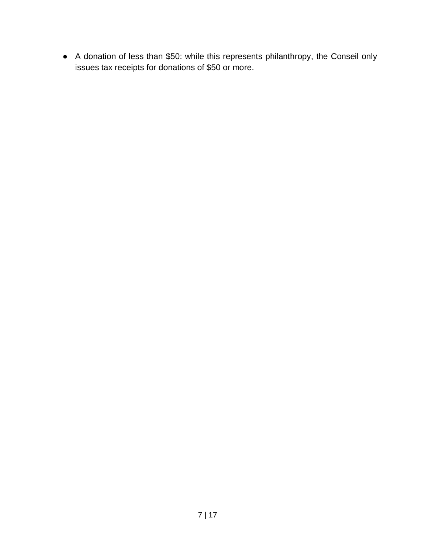● A donation of less than \$50: while this represents philanthropy, the Conseil only issues tax receipts for donations of \$50 or more.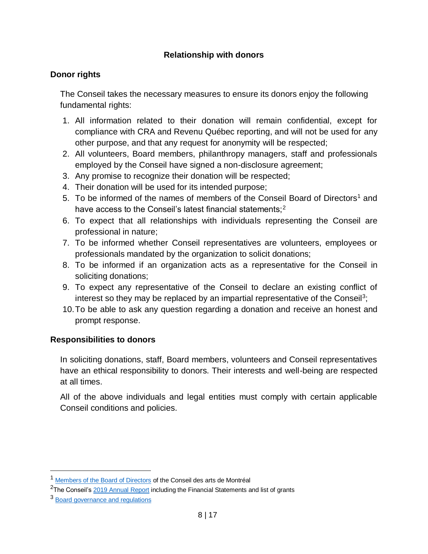## **Relationship with donors**

## <span id="page-7-1"></span><span id="page-7-0"></span>**Donor rights**

The Conseil takes the necessary measures to ensure its donors enjoy the following fundamental rights:

- 1. All information related to their donation will remain confidential, except for compliance with CRA and Revenu Québec reporting, and will not be used for any other purpose, and that any request for anonymity will be respected;
- 2. All volunteers, Board members, philanthropy managers, staff and professionals employed by the Conseil have signed a non-disclosure agreement;
- 3. Any promise to recognize their donation will be respected;
- 4. Their donation will be used for its intended purpose;
- 5. To be informed of the names of members of the Conseil Board of Directors<sup>1</sup> and have access to the Conseil's latest financial statements;<sup>2</sup>
- 6. To expect that all relationships with individuals representing the Conseil are professional in nature;
- 7. To be informed whether Conseil representatives are volunteers, employees or professionals mandated by the organization to solicit donations;
- 8. To be informed if an organization acts as a representative for the Conseil in soliciting donations;
- 9. To expect any representative of the Conseil to declare an existing conflict of interest so they may be replaced by an impartial representative of the Conseil<sup>3</sup>;
- 10.To be able to ask any question regarding a donation and receive an honest and prompt response.

#### <span id="page-7-2"></span>**Responsibilities to donors**

In soliciting donations, staff, Board members, volunteers and Conseil representatives have an ethical responsibility to donors. Their interests and well-being are respected at all times.

All of the above individuals and legal entities must comply with certain applicable Conseil conditions and policies.

 $\overline{a}$ 

<sup>1</sup> [Members of the Board of Directors](https://www.artsmontreal.org/en/council/board) of the Conseil des arts de Montréal

<sup>&</sup>lt;sup>2</sup>The Conseil'[s 2019 Annual Report](https://rapport2019.artsmontreal.org/en/) including the Financial Statements and list of grants

<sup>3</sup> [Board governance and regulations](https://www.artsmontreal.org/en/conseil/governance)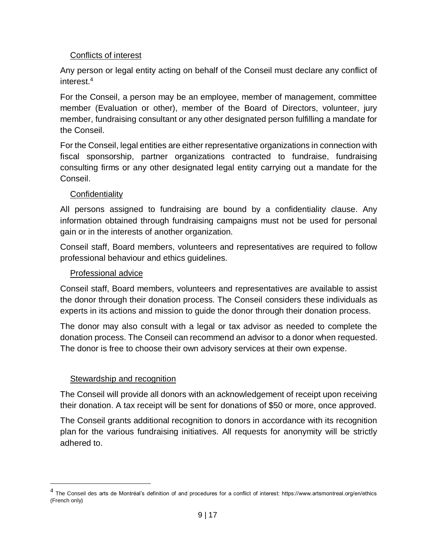#### Conflicts of interest

<span id="page-8-0"></span>Any person or legal entity acting on behalf of the Conseil must declare any conflict of interest.<sup>4</sup>

For the Conseil, a person may be an employee, member of management, committee member (Evaluation or other), member of the Board of Directors, volunteer, jury member, fundraising consultant or any other designated person fulfilling a mandate for the Conseil.

For the Conseil, legal entities are either representative organizations in connection with fiscal sponsorship, partner organizations contracted to fundraise, fundraising consulting firms or any other designated legal entity carrying out a mandate for the Conseil.

## **Confidentiality**

<span id="page-8-1"></span>All persons assigned to fundraising are bound by a confidentiality clause. Any information obtained through fundraising campaigns must not be used for personal gain or in the interests of another organization.

Conseil staff, Board members, volunteers and representatives are required to follow professional behaviour and ethics guidelines.

## Professional advice

<span id="page-8-2"></span>Conseil staff, Board members, volunteers and representatives are available to assist the donor through their donation process. The Conseil considers these individuals as experts in its actions and mission to guide the donor through their donation process.

The donor may also consult with a legal or tax advisor as needed to complete the donation process. The Conseil can recommend an advisor to a donor when requested. The donor is free to choose their own advisory services at their own expense.

#### Stewardship and recognition

 $\overline{a}$ 

<span id="page-8-3"></span>The Conseil will provide all donors with an acknowledgement of receipt upon receiving their donation. A tax receipt will be sent for donations of \$50 or more, once approved.

The Conseil grants additional recognition to donors in accordance with its recognition plan for the various fundraising initiatives. All requests for anonymity will be strictly adhered to.

<sup>&</sup>lt;sup>4</sup> The Conseil des arts de Montréal's definition of and procedures for a conflict of interest: https://www.artsmontreal.org/en/ethics (French only)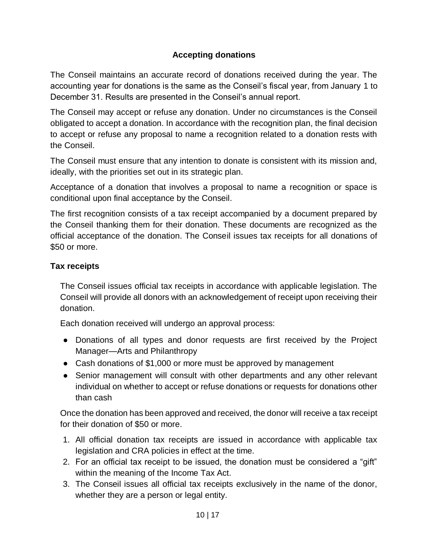# **Accepting donations**

<span id="page-9-0"></span>The Conseil maintains an accurate record of donations received during the year. The accounting year for donations is the same as the Conseil's fiscal year, from January 1 to December 31. Results are presented in the Conseil's annual report.

The Conseil may accept or refuse any donation. Under no circumstances is the Conseil obligated to accept a donation. In accordance with the recognition plan, the final decision to accept or refuse any proposal to name a recognition related to a donation rests with the Conseil.

The Conseil must ensure that any intention to donate is consistent with its mission and, ideally, with the priorities set out in its strategic plan.

Acceptance of a donation that involves a proposal to name a recognition or space is conditional upon final acceptance by the Conseil.

The first recognition consists of a tax receipt accompanied by a document prepared by the Conseil thanking them for their donation. These documents are recognized as the official acceptance of the donation. The Conseil issues tax receipts for all donations of \$50 or more.

## <span id="page-9-1"></span>**Tax receipts**

The Conseil issues official tax receipts in accordance with applicable legislation. The Conseil will provide all donors with an acknowledgement of receipt upon receiving their donation.

Each donation received will undergo an approval process:

- Donations of all types and donor requests are first received by the Project Manager—Arts and Philanthropy
- Cash donations of \$1,000 or more must be approved by management
- Senior management will consult with other departments and any other relevant individual on whether to accept or refuse donations or requests for donations other than cash

Once the donation has been approved and received, the donor will receive a tax receipt for their donation of \$50 or more.

- 1. All official donation tax receipts are issued in accordance with applicable tax legislation and CRA policies in effect at the time.
- 2. For an official tax receipt to be issued, the donation must be considered a "gift" within the meaning of the Income Tax Act.
- 3. The Conseil issues all official tax receipts exclusively in the name of the donor, whether they are a person or legal entity.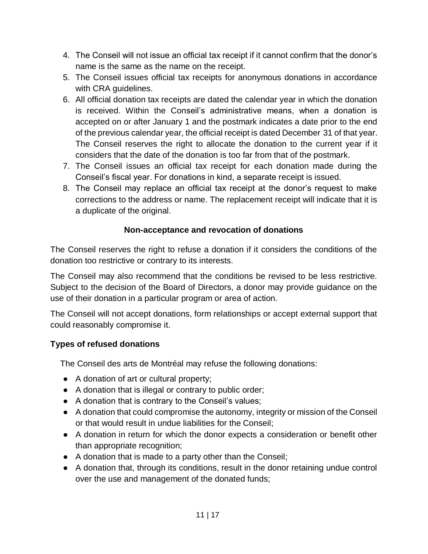- 4. The Conseil will not issue an official tax receipt if it cannot confirm that the donor's name is the same as the name on the receipt.
- 5. The Conseil issues official tax receipts for anonymous donations in accordance with CRA guidelines.
- 6. All official donation tax receipts are dated the calendar year in which the donation is received. Within the Conseil's administrative means, when a donation is accepted on or after January 1 and the postmark indicates a date prior to the end of the previous calendar year, the official receipt is dated December 31 of that year. The Conseil reserves the right to allocate the donation to the current year if it considers that the date of the donation is too far from that of the postmark.
- 7. The Conseil issues an official tax receipt for each donation made during the Conseil's fiscal year. For donations in kind, a separate receipt is issued.
- 8. The Conseil may replace an official tax receipt at the donor's request to make corrections to the address or name. The replacement receipt will indicate that it is a duplicate of the original.

# **Non-acceptance and revocation of donations**

<span id="page-10-0"></span>The Conseil reserves the right to refuse a donation if it considers the conditions of the donation too restrictive or contrary to its interests.

The Conseil may also recommend that the conditions be revised to be less restrictive. Subject to the decision of the Board of Directors, a donor may provide guidance on the use of their donation in a particular program or area of action.

The Conseil will not accept donations, form relationships or accept external support that could reasonably compromise it.

# <span id="page-10-1"></span>**Types of refused donations**

The Conseil des arts de Montréal may refuse the following donations:

- A donation of art or cultural property;
- A donation that is illegal or contrary to public order;
- A donation that is contrary to the Conseil's values;
- A donation that could compromise the autonomy, integrity or mission of the Conseil or that would result in undue liabilities for the Conseil;
- A donation in return for which the donor expects a consideration or benefit other than appropriate recognition;
- A donation that is made to a party other than the Conseil;
- A donation that, through its conditions, result in the donor retaining undue control over the use and management of the donated funds;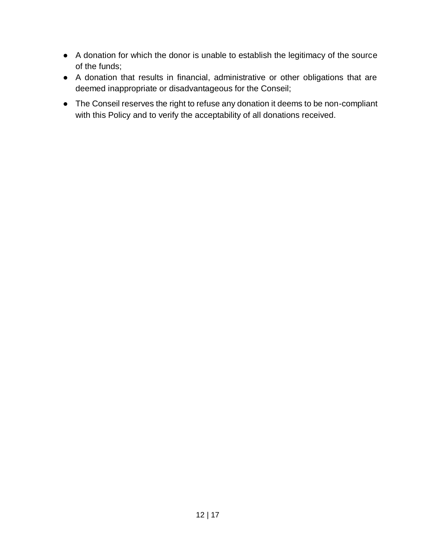- A donation for which the donor is unable to establish the legitimacy of the source of the funds;
- A donation that results in financial, administrative or other obligations that are deemed inappropriate or disadvantageous for the Conseil;
- The Conseil reserves the right to refuse any donation it deems to be non-compliant with this Policy and to verify the acceptability of all donations received.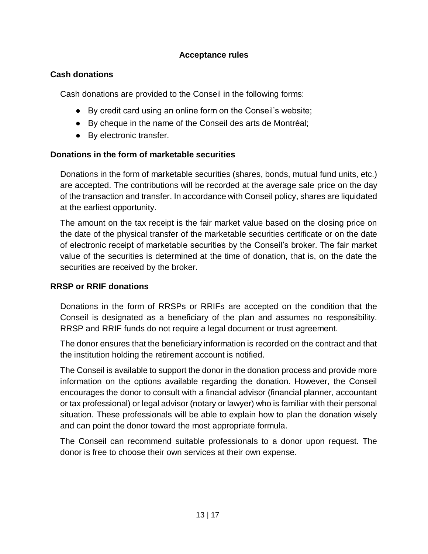#### **Acceptance rules**

#### <span id="page-12-1"></span><span id="page-12-0"></span>**Cash donations**

Cash donations are provided to the Conseil in the following forms:

- By credit card using an online form on the Conseil's website;
- By cheque in the name of the Conseil des arts de Montréal;
- By electronic transfer.

#### <span id="page-12-2"></span>**Donations in the form of marketable securities**

Donations in the form of marketable securities (shares, bonds, mutual fund units, etc.) are accepted. The contributions will be recorded at the average sale price on the day of the transaction and transfer. In accordance with Conseil policy, shares are liquidated at the earliest opportunity.

The amount on the tax receipt is the fair market value based on the closing price on the date of the physical transfer of the marketable securities certificate or on the date of electronic receipt of marketable securities by the Conseil's broker. The fair market value of the securities is determined at the time of donation, that is, on the date the securities are received by the broker.

#### <span id="page-12-3"></span>**RRSP or RRIF donations**

Donations in the form of RRSPs or RRIFs are accepted on the condition that the Conseil is designated as a beneficiary of the plan and assumes no responsibility. RRSP and RRIF funds do not require a legal document or trust agreement.

The donor ensures that the beneficiary information is recorded on the contract and that the institution holding the retirement account is notified.

The Conseil is available to support the donor in the donation process and provide more information on the options available regarding the donation. However, the Conseil encourages the donor to consult with a financial advisor (financial planner, accountant or tax professional) or legal advisor (notary or lawyer) who is familiar with their personal situation. These professionals will be able to explain how to plan the donation wisely and can point the donor toward the most appropriate formula.

The Conseil can recommend suitable professionals to a donor upon request. The donor is free to choose their own services at their own expense.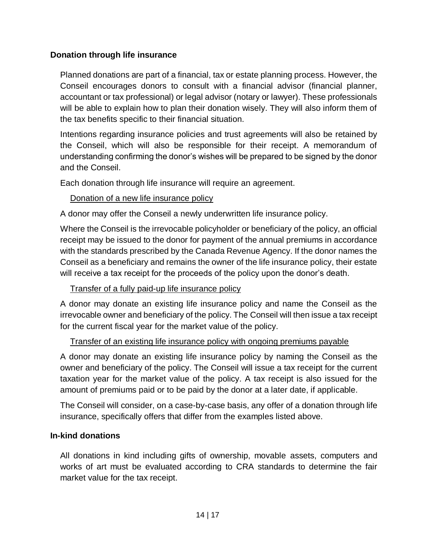## <span id="page-13-0"></span>**Donation through life insurance**

Planned donations are part of a financial, tax or estate planning process. However, the Conseil encourages donors to consult with a financial advisor (financial planner, accountant or tax professional) or legal advisor (notary or lawyer). These professionals will be able to explain how to plan their donation wisely. They will also inform them of the tax benefits specific to their financial situation.

Intentions regarding insurance policies and trust agreements will also be retained by the Conseil, which will also be responsible for their receipt. A memorandum of understanding confirming the donor's wishes will be prepared to be signed by the donor and the Conseil.

Each donation through life insurance will require an agreement.

# Donation of a new life insurance policy

<span id="page-13-1"></span>A donor may offer the Conseil a newly underwritten life insurance policy.

Where the Conseil is the irrevocable policyholder or beneficiary of the policy, an official receipt may be issued to the donor for payment of the annual premiums in accordance with the standards prescribed by the Canada Revenue Agency. If the donor names the Conseil as a beneficiary and remains the owner of the life insurance policy, their estate will receive a tax receipt for the proceeds of the policy upon the donor's death.

#### Transfer of a fully paid-up life insurance policy

<span id="page-13-2"></span>A donor may donate an existing life insurance policy and name the Conseil as the irrevocable owner and beneficiary of the policy. The Conseil will then issue a tax receipt for the current fiscal year for the market value of the policy.

# Transfer of an existing life insurance policy with ongoing premiums payable

<span id="page-13-3"></span>A donor may donate an existing life insurance policy by naming the Conseil as the owner and beneficiary of the policy. The Conseil will issue a tax receipt for the current taxation year for the market value of the policy. A tax receipt is also issued for the amount of premiums paid or to be paid by the donor at a later date, if applicable.

The Conseil will consider, on a case-by-case basis, any offer of a donation through life insurance, specifically offers that differ from the examples listed above.

# <span id="page-13-4"></span>**In-kind donations**

All donations in kind including gifts of ownership, movable assets, computers and works of art must be evaluated according to CRA standards to determine the fair market value for the tax receipt.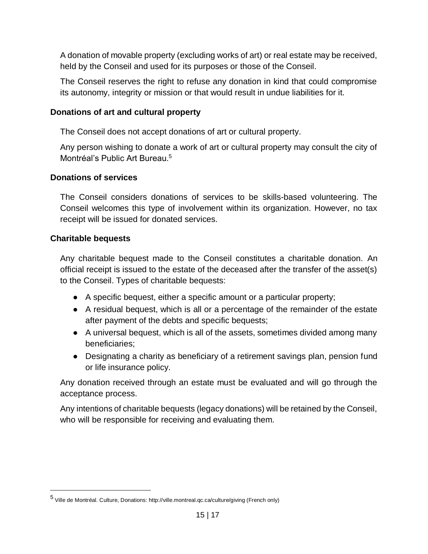A donation of movable property (excluding works of art) or real estate may be received, held by the Conseil and used for its purposes or those of the Conseil.

The Conseil reserves the right to refuse any donation in kind that could compromise its autonomy, integrity or mission or that would result in undue liabilities for it.

## <span id="page-14-0"></span>**Donations of art and cultural property**

The Conseil does not accept donations of art or cultural property.

Any person wishing to donate a work of art or cultural property may consult the city of Montréal's Public Art Bureau.<sup>5</sup>

## <span id="page-14-1"></span>**Donations of services**

The Conseil considers donations of services to be skills-based volunteering. The Conseil welcomes this type of involvement within its organization. However, no tax receipt will be issued for donated services.

## <span id="page-14-2"></span>**Charitable bequests**

 $\overline{a}$ 

Any charitable bequest made to the Conseil constitutes a charitable donation. An official receipt is issued to the estate of the deceased after the transfer of the asset(s) to the Conseil. Types of charitable bequests:

- A specific bequest, either a specific amount or a particular property;
- A residual bequest, which is all or a percentage of the remainder of the estate after payment of the debts and specific bequests;
- A universal bequest, which is all of the assets, sometimes divided among many beneficiaries;
- Designating a charity as beneficiary of a retirement savings plan, pension fund or life insurance policy.

Any donation received through an estate must be evaluated and will go through the acceptance process.

Any intentions of charitable bequests (legacy donations) will be retained by the Conseil, who will be responsible for receiving and evaluating them.

<sup>5&</sup>lt;br>Ville de Montréal. Culture, Donations: http://ville.montreal.qc.ca/culture/giving (French only)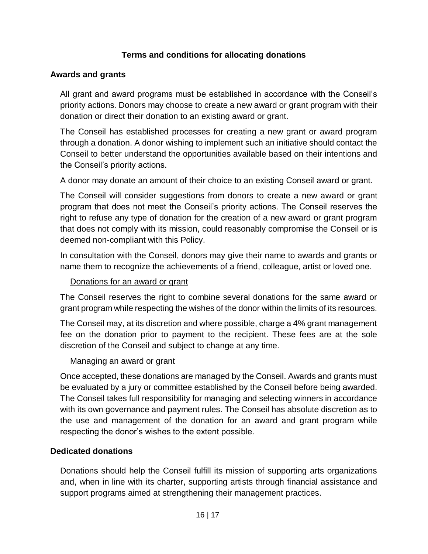## **Terms and conditions for allocating donations**

#### <span id="page-15-1"></span><span id="page-15-0"></span>**Awards and grants**

All grant and award programs must be established in accordance with the Conseil's priority actions. Donors may choose to create a new award or grant program with their donation or direct their donation to an existing award or grant.

The Conseil has established processes for creating a new grant or award program through a donation. A donor wishing to implement such an initiative should contact the Conseil to better understand the opportunities available based on their intentions and the Conseil's priority actions.

A donor may donate an amount of their choice to an existing Conseil award or grant.

The Conseil will consider suggestions from donors to create a new award or grant program that does not meet the Conseil's priority actions. The Conseil reserves the right to refuse any type of donation for the creation of a new award or grant program that does not comply with its mission, could reasonably compromise the Conseil or is deemed non-compliant with this Policy.

In consultation with the Conseil, donors may give their name to awards and grants or name them to recognize the achievements of a friend, colleague, artist or loved one.

#### Donations for an award or grant

<span id="page-15-2"></span>The Conseil reserves the right to combine several donations for the same award or grant program while respecting the wishes of the donor within the limits of its resources.

The Conseil may, at its discretion and where possible, charge a 4% grant management fee on the donation prior to payment to the recipient. These fees are at the sole discretion of the Conseil and subject to change at any time.

#### Managing an award or grant

<span id="page-15-3"></span>Once accepted, these donations are managed by the Conseil. Awards and grants must be evaluated by a jury or committee established by the Conseil before being awarded. The Conseil takes full responsibility for managing and selecting winners in accordance with its own governance and payment rules. The Conseil has absolute discretion as to the use and management of the donation for an award and grant program while respecting the donor's wishes to the extent possible.

#### <span id="page-15-4"></span>**Dedicated donations**

Donations should help the Conseil fulfill its mission of supporting arts organizations and, when in line with its charter, supporting artists through financial assistance and support programs aimed at strengthening their management practices.